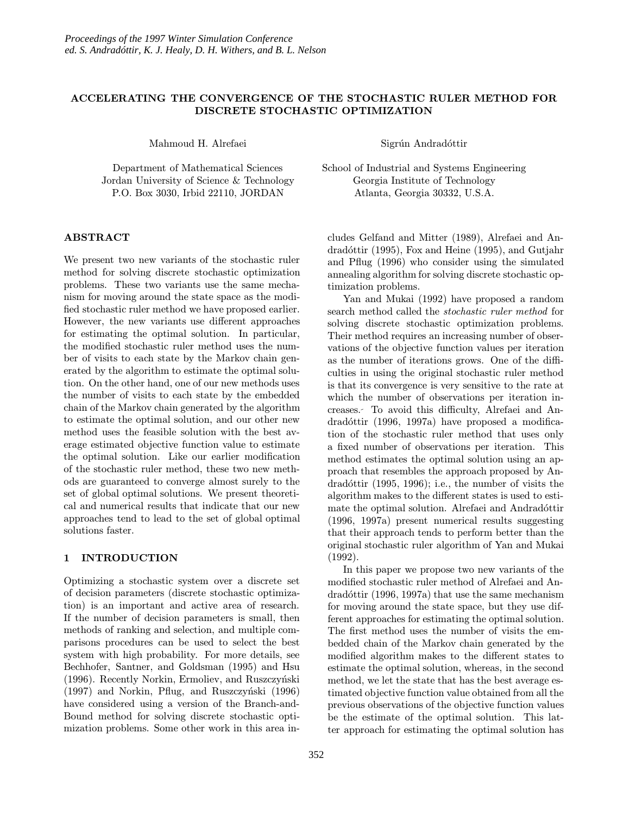# ACCELERATING THE CONVERGENCE OF THE STOCHASTIC RULER METHOD FOR DISCRETE STOCHASTIC OPTIMIZATION

Mahmoud H. Alrefaei

Department of Mathematical Sciences Jordan University of Science & Technology P.O. Box 3030, Irbid 22110, JORDAN

# ABSTRACT

We present two new variants of the stochastic ruler method for solving discrete stochastic optimization problems. These two variants use the same mechanism for moving around the state space as the modified stochastic ruler method we have proposed earlier. However, the new variants use different approaches for estimating the optimal solution. In particular, the modified stochastic ruler method uses the number of visits to each state by the Markov chain generated by the algorithm to estimate the optimal solution. On the other hand, one of our new methods uses the number of visits to each state by the embedded chain of the Markov chain generated by the algorithm to estimate the optimal solution, and our other new method uses the feasible solution with the best average estimated objective function value to estimate the optimal solution. Like our earlier modification of the stochastic ruler method, these two new methods are guaranteed to converge almost surely to the set of global optimal solutions. We present theoretical and numerical results that indicate that our new approaches tend to lead to the set of global optimal solutions faster.

### 1 INTRODUCTION

Optimizing a stochastic system over a discrete set of decision parameters (discrete stochastic optimization) is an important and active area of research. If the number of decision parameters is small, then methods of ranking and selection, and multiple comparisons procedures can be used to select the best system with high probability. For more details, see Bechhofer, Santner, and Goldsman (1995) and Hsu (1996). Recently Norkin, Ermoliev, and Ruszczyński  $(1997)$  and Norkin, Pflug, and Ruszczynski  $(1996)$ have considered using a version of the Branch-and-Bound method for solving discrete stochastic optimization problems. Some other work in this area inSigrún Andradóttir

School of Industrial and Systems Engineering Georgia Institute of Technology Atlanta, Georgia 30332, U.S.A.

cludes Gelfand and Mitter (1989), Alrefaei and An $dradditir$  (1995), Fox and Heine (1995), and Gutjahr and Pflug (1996) who consider using the simulated annealing algorithm for solving discrete stochastic optimization problems.

Yan and Mukai (1992) have proposed a random search method called the stochastic ruler method for solving discrete stochastic optimization problems. Their method requires an increasing number of observations of the objective function values per iteration as the number of iterations grows. One of the difficulties in using the original stochastic ruler method is that its convergence is very sensitive to the rate at which the number of observations per iteration increases. To avoid this difficulty, Alrefaei and Andradóttir (1996, 1997a) have proposed a modification of the stochastic ruler method that uses only a fixed number of observations per iteration. This method estimates the optimal solution using an approach that resembles the approach proposed by Andradóttir  $(1995, 1996)$ ; i.e., the number of visits the algorithm makes to the different states is used to estimate the optimal solution. Alrefaei and Andradóttir (1996, 1997a) present numerical results suggesting that their approach tends to perform better than the original stochastic ruler algorithm of Yan and Mukai (1992).

In this paper we propose two new variants of the modified stochastic ruler method of Alrefaei and An $d\text{rad}$ <sup>ottir</sup> (1996, 1997a) that use the same mechanism for moving around the state space, but they use different approaches for estimating the optimal solution. The first method uses the number of visits the embedded chain of the Markov chain generated by the modified algorithm makes to the different states to estimate the optimal solution, whereas, in the second method, we let the state that has the best average estimated objective function value obtained from all the previous observations of the objective function values be the estimate of the optimal solution. This latter approach for estimating the optimal solution has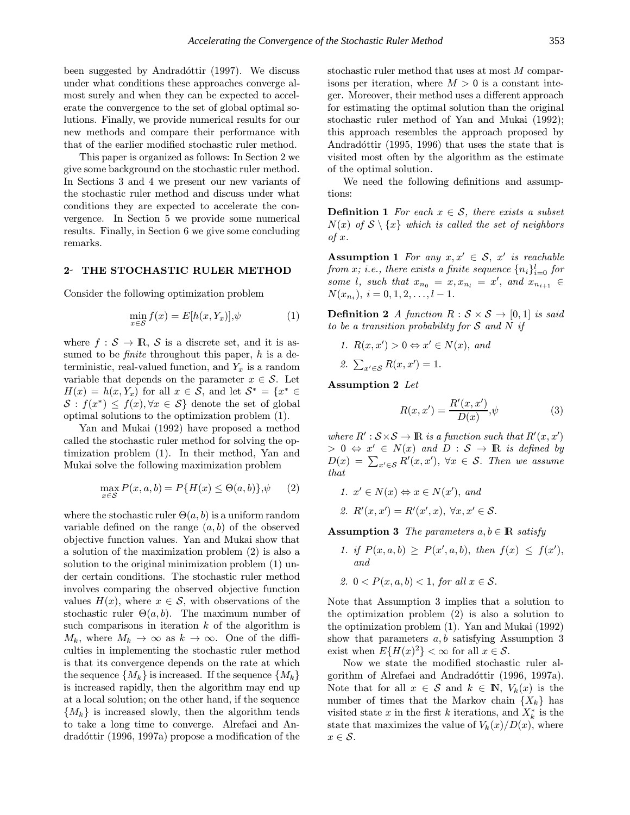been suggested by Andradóttir  $(1997)$ . We discuss under what conditions these approaches converge almost surely and when they can be expected to accelerate the convergence to the set of global optimal solutions. Finally, we provide numerical results for our new methods and compare their performance with that of the earlier modified stochastic ruler method.

This paper is organized as follows: In Section 2 we give some background on the stochastic ruler method. In Sections 3 and 4 we present our new variants of the stochastic ruler method and discuss under what conditions they are expected to accelerate the convergence. In Section 5 we provide some numerical results. Finally, in Section 6 we give some concluding remarks.

#### 2- THE STOCHASTIC RULER METHOD

Consider the following optimization problem

$$
\min_{x \in \mathcal{S}} f(x) = E[h(x, Y_x)], \psi \tag{1}
$$

where  $f : \mathcal{S} \to \mathbb{R}, \mathcal{S}$  is a discrete set, and it is assumed to be *finite* throughout this paper,  $h$  is a deterministic, real-valued function, and  $Y_x$  is a random variable that depends on the parameter  $x \in \mathcal{S}$ . Let  $H(x) = h(x, Y_x)$  for all  $x \in S$ , and let  $S^* = \{x^* \in$  $S : f(x^*) \leq f(x), \forall x \in S$  denote the set of global optimal solutions to the optimization problem (1).

Yan and Mukai (1992) have proposed a method called the stochastic ruler method for solving the optimization problem (1). In their method, Yan and Mukai solve the following maximization problem

$$
\max_{x \in \mathcal{S}} P(x, a, b) = P\{H(x) \le \Theta(a, b)\}, \psi \qquad (2)
$$

where the stochastic ruler  $\Theta(a, b)$  is a uniform random variable defined on the range  $(a, b)$  of the observed objective function values. Yan and Mukai show that a solution of the maximization problem (2) is also a solution to the original minimization problem (1) under certain conditions. The stochastic ruler method involves comparing the observed objective function values  $H(x)$ , where  $x \in \mathcal{S}$ , with observations of the stochastic ruler  $\Theta(a, b)$ . The maximum number of such comparisons in iteration  $k$  of the algorithm is  $M_k$ , where  $M_k \to \infty$  as  $k \to \infty$ . One of the difficulties in implementing the stochastic ruler method is that its convergence depends on the rate at which the sequence  $\{M_k\}$  is increased. If the sequence  $\{M_k\}$ is increased rapidly, then the algorithm may end up at a local solution; on the other hand, if the sequence  ${M_k}$  is increased slowly, then the algorithm tends to take a long time to converge. Alrefaei and An $d$ rad $\acute{o}t$ ttir (1996, 1997a) propose a modification of the

stochastic ruler method that uses at most M comparisons per iteration, where  $M > 0$  is a constant integer. Moreover, their method uses a different approach for estimating the optimal solution than the original stochastic ruler method of Yan and Mukai (1992); this approach resembles the approach proposed by Andradóttir  $(1995, 1996)$  that uses the state that is visited most often by the algorithm as the estimate of the optimal solution.

We need the following definitions and assumptions:

**Definition 1** For each  $x \in \mathcal{S}$ , there exists a subset  $N(x)$  of  $S \setminus \{x\}$  which is called the set of neighbors of x.

Assumption 1 For any  $x, x' \in S$ ,  $x'$  is reachable from  $x$ ; i.e., there exists a finite sequence  $\{n_i\}_{i=0}^l$  for some l, such that  $x_{n_0} = x, x_{n_l} = x'$ , and  $x_{n_{i+1}} \in$  $N(x_{n_i}), i = 0, 1, 2, \ldots, l-1.$ 

**Definition 2** A function  $R : \mathcal{S} \times \mathcal{S} \rightarrow [0, 1]$  is said to be a transition probability for  $S$  and  $N$  if

1. 
$$
R(x, x') > 0 \Leftrightarrow x' \in N(x)
$$
, and  
2.  $\sum_{x' \in S} R(x, x') = 1$ .

Assumption 2 Let

$$
R(x, x') = \frac{R'(x, x')}{D(x)}, \psi
$$
\n<sup>(3)</sup>

where  $R' : S \times S \to \mathbb{R}$  is a function such that  $R'(x, x')$  $> 0 \Leftrightarrow x' \in N(x)$  and  $D : S \to \mathbb{R}$  is defined by  $D(x) = \sum_{x' \in \mathcal{S}} R'(x, x'), \ \forall x \in \mathcal{S}.$  Then we assume that

$$
1. \, x' \in N(x) \Leftrightarrow x \in N(x'), \text{ and}
$$

$$
\mathcal{Z}. \ \ R'(x,x') = R'(x',x), \ \forall x,x' \in \mathcal{S}.
$$

**Assumption 3** The parameters  $a, b \in \mathbb{R}$  satisfy

- 1. if  $P(x, a, b) \ge P(x', a, b)$ , then  $f(x) \le f(x')$ , and
- 2.  $0 < P(x, a, b) < 1$ , for all  $x \in S$ .

Note that Assumption 3 implies that a solution to the optimization problem (2) is also a solution to the optimization problem (1). Yan and Mukai (1992) show that parameters  $a, b$  satisfying Assumption 3 exist when  $E\{H(x)^2\} < \infty$  for all  $x \in \mathcal{S}$ .

Now we state the modified stochastic ruler algorithm of Alrefaei and Andradóttir (1996, 1997a). Note that for all  $x \in \mathcal{S}$  and  $k \in \mathbb{N}$ ,  $V_k(x)$  is the number of times that the Markov chain  $\{X_k\}$  has visited state x in the first k iterations, and  $X_k^*$  is the state that maximizes the value of  $V_k(x)/D(x)$ , where  $x \in \mathcal{S}$ .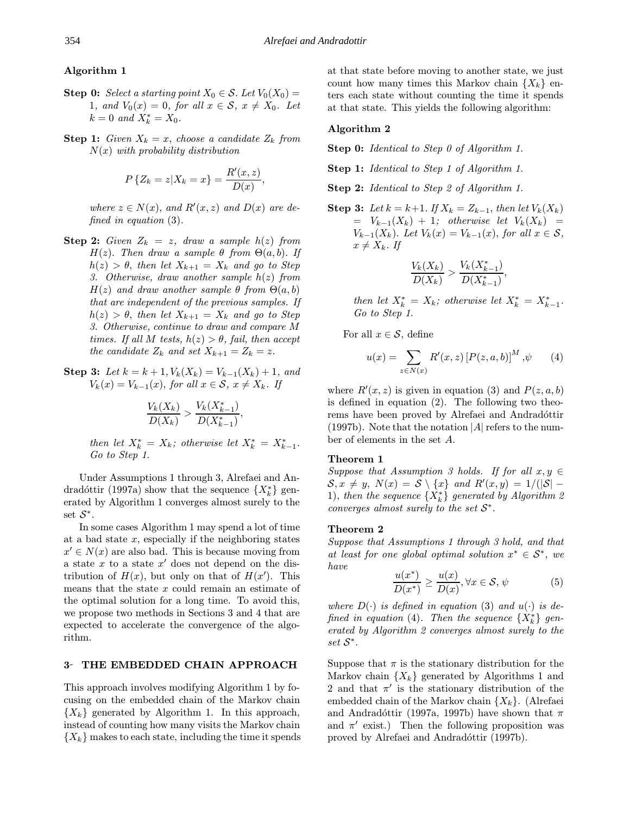# Algorithm 1

- **Step 0:** Select a starting point  $X_0 \in \mathcal{S}$ . Let  $V_0(X_0) =$ 1, and  $V_0(x) = 0$ , for all  $x \in S$ ,  $x \neq X_0$ . Let  $k = 0$  and  $X_k^* = X_0$ .
- **Step 1:** Given  $X_k = x$ , choose a candidate  $Z_k$  from  $N(x)$  with probability distribution

$$
P\{Z_k = z | X_k = x\} = \frac{R'(x, z)}{D(x)},
$$

where  $z \in N(x)$ , and  $R'(x, z)$  and  $D(x)$  are defined in equation (3).

- **Step 2:** Given  $Z_k = z$ , draw a sample  $h(z)$  from  $H(z)$ . Then draw a sample  $\theta$  from  $\Theta(a, b)$ . If  $h(z) > \theta$ , then let  $X_{k+1} = X_k$  and go to Step 3. Otherwise, draw another sample  $h(z)$  from  $H(z)$  and draw another sample  $\theta$  from  $\Theta(a, b)$ that are independent of the previous samples. If  $h(z) > \theta$ , then let  $X_{k+1} = X_k$  and go to Step 3. Otherwise, continue to draw and compare M times. If all M tests,  $h(z) > \theta$ , fail, then accept the candidate  $Z_k$  and set  $X_{k+1} = Z_k = z$ .
- Step 3: Let  $k = k + 1$ ,  $V_k(X_k) = V_{k-1}(X_k) + 1$ , and  $V_k(x) = V_{k-1}(x)$ , for all  $x \in S$ ,  $x \neq X_k$ . If

$$
\frac{V_k(X_k)}{D(X_k)} > \frac{V_k(X_{k-1}^*)}{D(X_{k-1}^*)},
$$

then let  $X_k^* = X_k$ ; otherwise let  $X_k^* = X_{k-1}^*$ . Go to Step 1.

Under Assumptions 1 through 3, Alrefaei and Andradóttir (1997a) show that the sequence  $\{X_k^*\}$  generated by Algorithm 1 converges almost surely to the set  $S^*$ .

In some cases Algorithm 1 may spend a lot of time at a bad state  $x$ , especially if the neighboring states  $x' \in N(x)$  are also bad. This is because moving from a state x to a state  $x'$  does not depend on the distribution of  $H(x)$ , but only on that of  $H(x')$ . This means that the state x could remain an estimate of the optimal solution for a long time. To avoid this, we propose two methods in Sections 3 and 4 that are expected to accelerate the convergence of the algorithm.

#### 3 THE EMBEDDED CHAIN APPROACH

This approach involves modifying Algorithm 1 by focusing on the embedded chain of the Markov chain  ${X_k}$  generated by Algorithm 1. In this approach, instead of counting how many visits the Markov chain  ${X_k}$  makes to each state, including the time it spends at that state before moving to another state, we just count how many times this Markov chain  $\{X_k\}$  enters each state without counting the time it spends at that state. This yields the following algorithm:

### Algorithm 2

Step 0: Identical to Step 0 of Algorithm 1.

Step 1: Identical to Step 1 of Algorithm 1.

- Step 2: Identical to Step 2 of Algorithm 1.
- Step 3: Let  $k = k+1$ . If  $X_k = Z_{k-1}$ , then let  $V_k(X_k)$  $= V_{k-1}(X_k) + 1$ ; otherwise let  $V_k(X_k) =$  $V_{k-1}(X_k)$ . Let  $V_k(x) = V_{k-1}(x)$ , for all  $x \in \mathcal{S}$ ,  $x \neq X_k$ . If

$$
\frac{V_k(X_k)}{D(X_k)} > \frac{V_k(X_{k-1}^*)}{D(X_{k-1}^*)},
$$

then let  $X_k^* = X_k$ ; otherwise let  $X_k^* = X_{k-1}^*$ . Go to Step 1.

For all  $x \in \mathcal{S}$ , define

$$
u(x) = \sum_{z \in N(x)} R'(x, z) [P(z, a, b)]^M, \psi \qquad (4)
$$

where  $R'(x, z)$  is given in equation (3) and  $P(z, a, b)$ is defined in equation (2). The following two theorems have been proved by Alrefaei and Andradottin (1997b). Note that the notation  $|A|$  refers to the number of elements in the set A.

### Theorem 1

Suppose that Assumption 3 holds. If for all  $x, y \in$  $S, x \neq y, N(x) = S \setminus \{x\}$  and  $R'(x, y) = 1/(|S| -$ 1), then the sequence  $\{X_k^*\}$  generated by Algorithm 2 converges almost surely to the set  $S^*$ .

#### Theorem 2

Suppose that Assumptions 1 through 3 hold, and that at least for one global optimal solution  $x^* \in \mathcal{S}^*$ , we have

$$
\frac{u(x^*)}{D(x^*)} \ge \frac{u(x)}{D(x)}, \forall x \in \mathcal{S}, \psi \tag{5}
$$

where  $D(\cdot)$  is defined in equation (3) and  $u(\cdot)$  is defined in equation (4). Then the sequence  $\{X_k^*\}$  generated by Algorithm 2 converges almost surely to the set S<sup>∗</sup>.

Suppose that  $\pi$  is the stationary distribution for the Markov chain  $\{X_k\}$  generated by Algorithms 1 and 2 and that  $\pi'$  is the stationary distribution of the embedded chain of the Markov chain  $\{X_k\}$ . (Alrefaei and Andradóttir (1997a, 1997b) have shown that  $\pi$ and  $\pi$ <sup>'</sup> exist.) Then the following proposition was proved by Alrefaei and Andradóttir (1997b).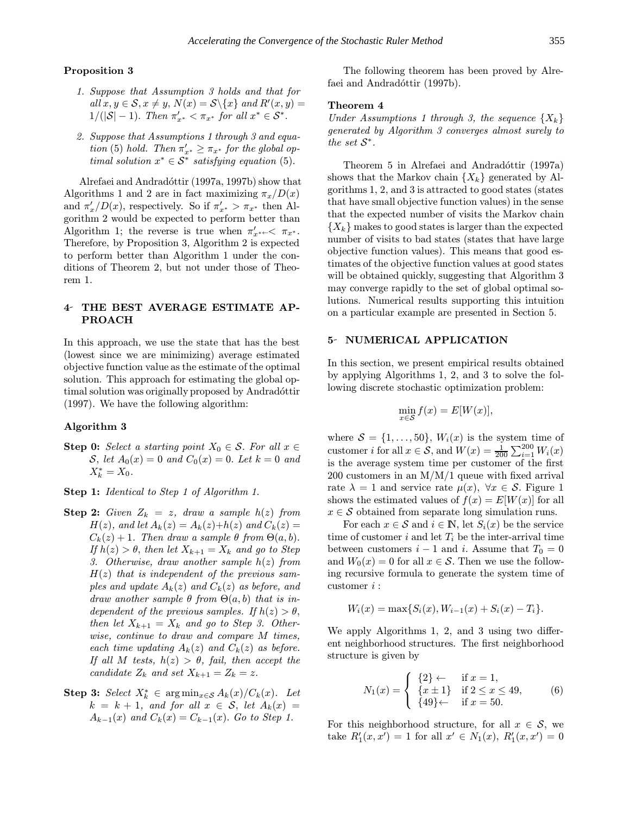### Proposition 3

- 1. Suppose that Assumption 3 holds and that for all  $x, y \in \mathcal{S}, x \neq y$ ,  $N(x) = \mathcal{S} \backslash \{x\}$  and  $R'(x, y) =$  $1/(|\mathcal{S}|-1)$ . Then  $\pi'_{x^*}<\pi_{x^*}$  for all  $x^*\in\mathcal{S}^*$ .
- 2. Suppose that Assumptions 1 through 3 and equation (5) hold. Then  $\pi'_{x^*} \geq \pi_{x^*}$  for the global optimal solution  $x^* \in S^*$  satisfying equation (5).

Alrefaei and Andradóttir (1997a, 1997b) show that Algorithms 1 and 2 are in fact maximizing  $\pi_x/D(x)$ and  $\pi'_x/D(x)$ , respectively. So if  $\pi'_{x^*} > \pi_{x^*}$  then Algorithm 2 would be expected to perform better than Algorithm 1; the reverse is true when  $\pi'_{x^{*}} \leftarrow \pi_{x^{*}}$ . Therefore, by Proposition 3, Algorithm 2 is expected to perform better than Algorithm 1 under the conditions of Theorem 2, but not under those of Theorem 1.

# 4 THE BEST AVERAGE ESTIMATE AP-PROACH

In this approach, we use the state that has the best (lowest since we are minimizing) average estimated objective function value as the estimate of the optimal solution. This approach for estimating the global optimal solution was originally proposed by Andradóttir (1997). We have the following algorithm:

### Algorithm 3

Step 0: Select a starting point  $X_0 \in \mathcal{S}$ . For all  $x \in$ S, let  $A_0(x) = 0$  and  $C_0(x) = 0$ . Let  $k = 0$  and  $X_k^* = X_0.$ 

Step 1: Identical to Step 1 of Algorithm 1.

- **Step 2:** Given  $Z_k = z$ , draw a sample  $h(z)$  from  $H(z)$ , and let  $A_k(z) = A_k(z) + h(z)$  and  $C_k(z) =$  $C_k(z) + 1$ . Then draw a sample  $\theta$  from  $\Theta(a, b)$ . If  $h(z) > \theta$ , then let  $X_{k+1} = X_k$  and go to Step 3. Otherwise, draw another sample  $h(z)$  from  $H(z)$  that is independent of the previous samples and update  $A_k(z)$  and  $C_k(z)$  as before, and draw another sample  $\theta$  from  $\Theta(a, b)$  that is independent of the previous samples. If  $h(z) > \theta$ , then let  $X_{k+1} = X_k$  and go to Step 3. Otherwise, continue to draw and compare M times, each time updating  $A_k(z)$  and  $C_k(z)$  as before. If all M tests,  $h(z) > \theta$ , fail, then accept the candidate  $Z_k$  and set  $X_{k+1} = Z_k = z$ .
- **Step 3:** Select  $X_k^* \in \arg \min_{x \in \mathcal{S}} A_k(x)/C_k(x)$ . Let  $k = k + 1$ , and for all  $x \in S$ , let  $A_k(x) =$  $A_{k-1}(x)$  and  $C_k(x) = C_{k-1}(x)$ . Go to Step 1.

The following theorem has been proved by Alrefaei and Andradóttir (1997b).

#### Theorem 4

Under Assumptions 1 through 3, the sequence  $\{X_k\}$ generated by Algorithm 3 converges almost surely to the set  $S^*$ .

Theorem 5 in Alrefaei and Andradóttir (1997a) shows that the Markov chain  $\{X_k\}$  generated by Algorithms 1, 2, and 3 is attracted to good states (states that have small objective function values) in the sense that the expected number of visits the Markov chain  ${X_k}$  makes to good states is larger than the expected number of visits to bad states (states that have large objective function values). This means that good estimates of the objective function values at good states will be obtained quickly, suggesting that Algorithm 3 may converge rapidly to the set of global optimal solutions. Numerical results supporting this intuition on a particular example are presented in Section 5.

#### 5 NUMERICAL APPLICATION

In this section, we present empirical results obtained by applying Algorithms 1, 2, and 3 to solve the following discrete stochastic optimization problem:

$$
\min_{x \in \mathcal{S}} f(x) = E[W(x)],
$$

where  $S = \{1, \ldots, 50\}$ ,  $W_i(x)$  is the system time of customer *i* for all  $x \in S$ , and  $W(x) = \frac{1}{200} \sum_{i=1}^{200} W_i(x)$ is the average system time per customer of the first  $200$  customers in an  $M/M/1$  queue with fixed arrival rate  $\lambda = 1$  and service rate  $\mu(x)$ ,  $\forall x \in S$ . Figure 1 shows the estimated values of  $f(x) = E[W(x)]$  for all  $x \in \mathcal{S}$  obtained from separate long simulation runs.

For each  $x \in \mathcal{S}$  and  $i \in \mathbb{N}$ , let  $S_i(x)$  be the service time of customer i and let  $T_i$  be the inter-arrival time between customers  $i - 1$  and i. Assume that  $T_0 = 0$ and  $W_0(x) = 0$  for all  $x \in \mathcal{S}$ . Then we use the following recursive formula to generate the system time of customer i :

$$
W_i(x) = \max\{S_i(x), W_{i-1}(x) + S_i(x) - T_i\}.
$$

We apply Algorithms 1, 2, and 3 using two different neighborhood structures. The first neighborhood structure is given by

$$
N_1(x) = \begin{cases} \{2\} \leftarrow & \text{if } x = 1, \\ \{x \pm 1\} & \text{if } 2 \le x \le 49, \\ \{49\} \leftarrow & \text{if } x = 50. \end{cases} \tag{6}
$$

For this neighborhood structure, for all  $x \in \mathcal{S}$ , we take  $R'_1(x, x') = 1$  for all  $x' \in N_1(x)$ ,  $R'_1(x, x') = 0$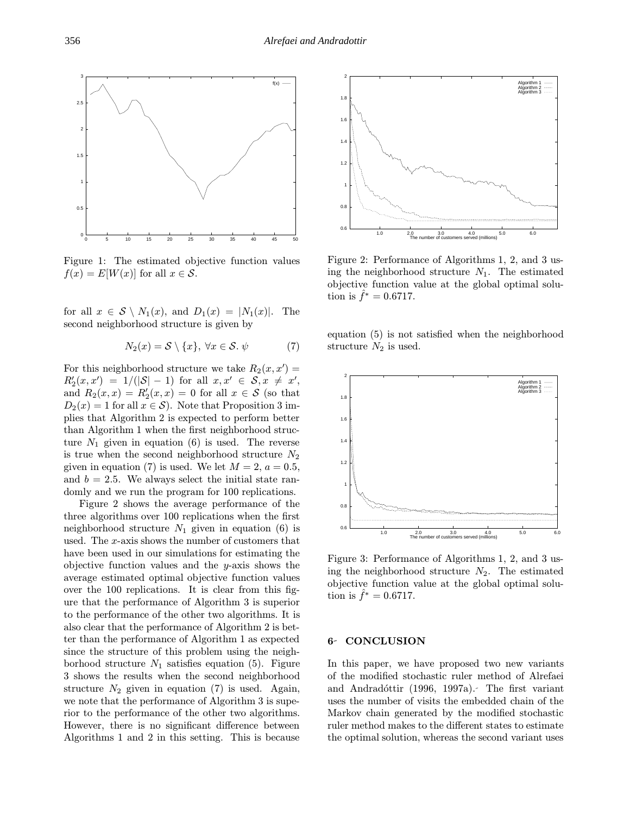

Figure 1: The estimated objective function values  $f(x) = E[W(x)]$  for all  $x \in \mathcal{S}$ .

for all  $x \in S \setminus N_1(x)$ , and  $D_1(x) = |N_1(x)|$ . The second neighborhood structure is given by

$$
N_2(x) = \mathcal{S} \setminus \{x\}, \ \forall x \in \mathcal{S}. \ \psi \tag{7}
$$

For this neighborhood structure we take  $R_2(x, x') =$  $R_2'(x, x') = 1/(|\mathcal{S}|-1)$  for all  $x, x' \in \mathcal{S}, x \neq x'$ , and  $R_2(x,x) = R_2'(x,x) = 0$  for all  $x \in \mathcal{S}$  (so that  $D_2(x) = 1$  for all  $x \in \mathcal{S}$ . Note that Proposition 3 implies that Algorithm 2 is expected to perform better than Algorithm 1 when the first neighborhood structure  $N_1$  given in equation (6) is used. The reverse is true when the second neighborhood structure  $N_2$ given in equation (7) is used. We let  $M = 2$ ,  $a = 0.5$ , and  $b = 2.5$ . We always select the initial state randomly and we run the program for 100 replications.

Figure 2 shows the average performance of the three algorithms over 100 replications when the first neighborhood structure  $N_1$  given in equation (6) is used. The x-axis shows the number of customers that have been used in our simulations for estimating the objective function values and the  $y$ -axis shows the average estimated optimal objective function values over the 100 replications. It is clear from this figure that the performance of Algorithm 3 is superior to the performance of the other two algorithms. It is also clear that the performance of Algorithm 2 is better than the performance of Algorithm 1 as expected since the structure of this problem using the neighborhood structure  $N_1$  satisfies equation (5). Figure 3 shows the results when the second neighborhood structure  $N_2$  given in equation (7) is used. Again, we note that the performance of Algorithm 3 is superior to the performance of the other two algorithms. However, there is no significant difference between Algorithms 1 and 2 in this setting. This is because



Figure 2: Performance of Algorithms 1, 2, and 3 using the neighborhood structure  $N_1$ . The estimated objective function value at the global optimal solution is  $f^* = 0.6717$ .

equation (5) is not satisfied when the neighborhood structure  $N_2$  is used.



Figure 3: Performance of Algorithms 1, 2, and 3 using the neighborhood structure  $N_2$ . The estimated objective function value at the global optimal solution is  $\hat{f}^* = 0.6717$ .

#### 6- CONCLUSION

In this paper, we have proposed two new variants of the modified stochastic ruler method of Alrefaei and Andradóttir (1996, 1997a). The first variant uses the number of visits the embedded chain of the Markov chain generated by the modified stochastic ruler method makes to the different states to estimate the optimal solution, whereas the second variant uses